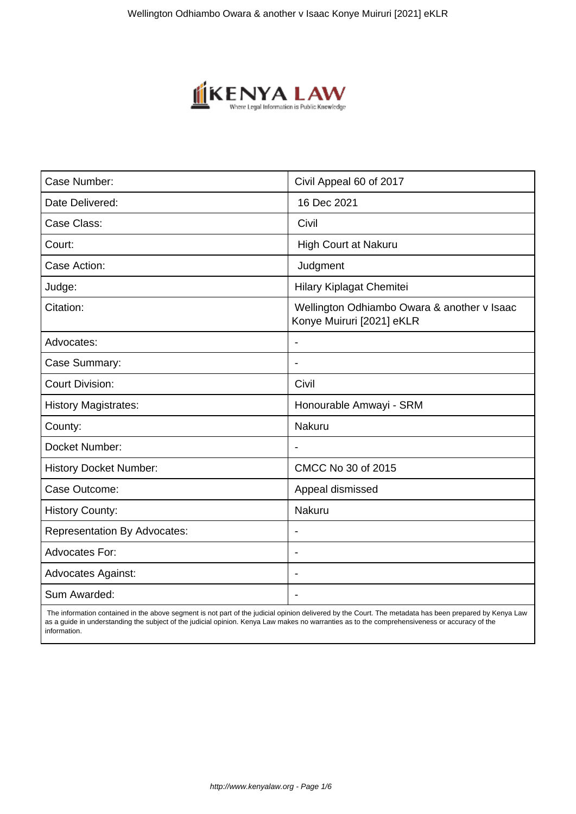

| Case Number:                        | Civil Appeal 60 of 2017                                                  |
|-------------------------------------|--------------------------------------------------------------------------|
| Date Delivered:                     | 16 Dec 2021                                                              |
| Case Class:                         | Civil                                                                    |
| Court:                              | High Court at Nakuru                                                     |
| Case Action:                        | Judgment                                                                 |
| Judge:                              | Hilary Kiplagat Chemitei                                                 |
| Citation:                           | Wellington Odhiambo Owara & another v Isaac<br>Konye Muiruri [2021] eKLR |
| Advocates:                          |                                                                          |
| Case Summary:                       |                                                                          |
| <b>Court Division:</b>              | Civil                                                                    |
| <b>History Magistrates:</b>         | Honourable Amwayi - SRM                                                  |
| County:                             | Nakuru                                                                   |
| Docket Number:                      |                                                                          |
| <b>History Docket Number:</b>       | CMCC No 30 of 2015                                                       |
| Case Outcome:                       | Appeal dismissed                                                         |
| <b>History County:</b>              | Nakuru                                                                   |
| <b>Representation By Advocates:</b> | $\qquad \qquad \blacksquare$                                             |
| Advocates For:                      |                                                                          |
| <b>Advocates Against:</b>           |                                                                          |
| Sum Awarded:                        |                                                                          |

 The information contained in the above segment is not part of the judicial opinion delivered by the Court. The metadata has been prepared by Kenya Law as a guide in understanding the subject of the judicial opinion. Kenya Law makes no warranties as to the comprehensiveness or accuracy of the information.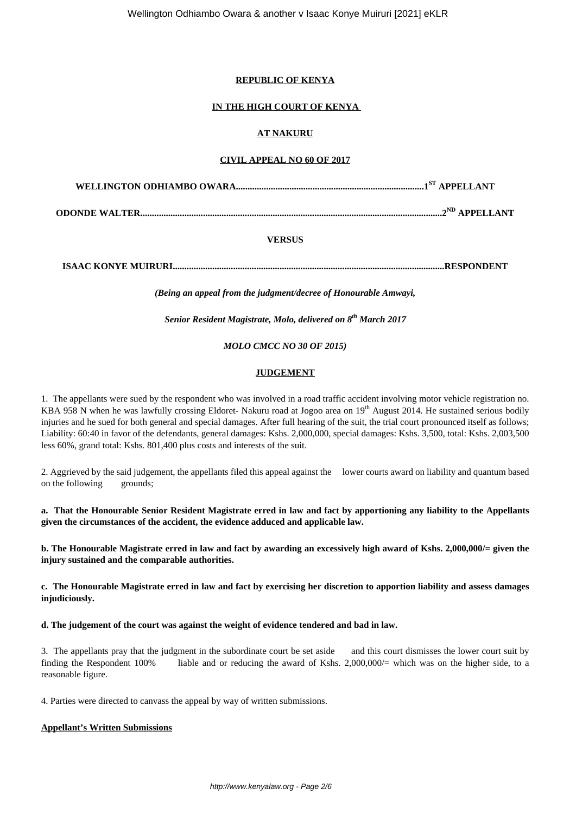# **REPUBLIC OF KENYA**

# **IN THE HIGH COURT OF KENYA**

# **AT NAKURU**

## **CIVIL APPEAL NO 60 OF 2017**

**WELLINGTON ODHIAMBO OWARA.................................................................................1ST APPELLANT**

**ODONDE WALTER..................................................................................................................................2ND APPELLANT**

# **VERSUS**

**ISAAC KONYE MUIRURI.....................................................................................................................RESPONDENT**

*(Being an appeal from the judgment/decree of Honourable Amwayi,*

*Senior Resident Magistrate, Molo, delivered on 8th March 2017*

*MOLO CMCC NO 30 OF 2015)*

## **JUDGEMENT**

1. The appellants were sued by the respondent who was involved in a road traffic accident involving motor vehicle registration no. KBA 958 N when he was lawfully crossing Eldoret- Nakuru road at Jogoo area on 19<sup>th</sup> August 2014. He sustained serious bodily injuries and he sued for both general and special damages. After full hearing of the suit, the trial court pronounced itself as follows; Liability: 60:40 in favor of the defendants, general damages: Kshs. 2,000,000, special damages: Kshs. 3,500, total: Kshs. 2,003,500 less 60%, grand total: Kshs. 801,400 plus costs and interests of the suit.

2. Aggrieved by the said judgement, the appellants filed this appeal against the lower courts award on liability and quantum based on the following grounds;

**a. That the Honourable Senior Resident Magistrate erred in law and fact by apportioning any liability to the Appellants given the circumstances of the accident, the evidence adduced and applicable law.**

**b. The Honourable Magistrate erred in law and fact by awarding an excessively high award of Kshs. 2,000,000/= given the injury sustained and the comparable authorities.**

**c. The Honourable Magistrate erred in law and fact by exercising her discretion to apportion liability and assess damages injudiciously.**

**d. The judgement of the court was against the weight of evidence tendered and bad in law.**

3. The appellants pray that the judgment in the subordinate court be set aside and this court dismisses the lower court suit by finding the Respondent 100% liable and or reducing the award of Kshs. 2,000,000/= which was on the higher side, to a reasonable figure.

4. Parties were directed to canvass the appeal by way of written submissions.

## **Appellant's Written Submissions**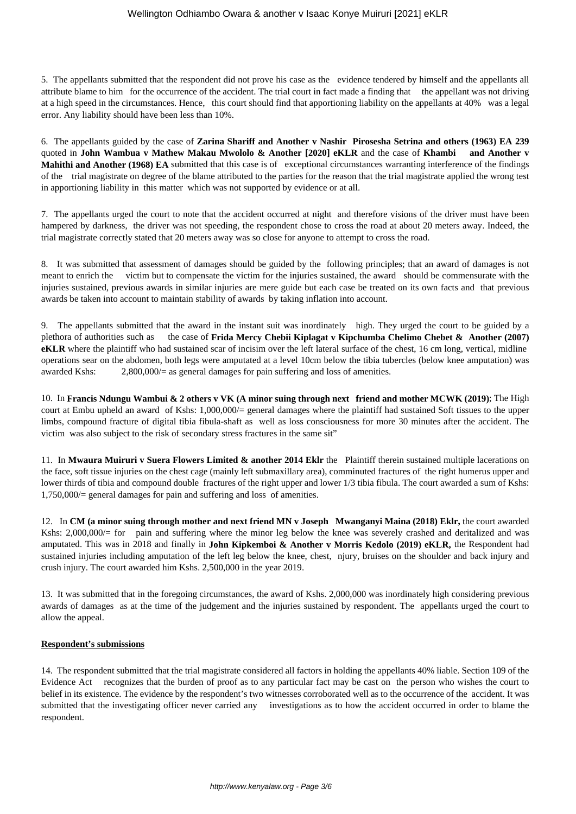5. The appellants submitted that the respondent did not prove his case as the evidence tendered by himself and the appellants all attribute blame to him for the occurrence of the accident. The trial court in fact made a finding that the appellant was not driving at a high speed in the circumstances. Hence, this court should find that apportioning liability on the appellants at 40% was a legal error. Any liability should have been less than 10%.

6. The appellants guided by the case of **Zarina Shariff and Another v Nashir Pirosesha Setrina and others (1963) EA 239** quoted in **John Wambua v Mathew Makau Mwololo & Another [2020] eKLR** and the case of **Khambi and Another v Mahithi and Another (1968) EA** submitted that this case is of exceptional circumstances warranting interference of the findings of the trial magistrate on degree of the blame attributed to the parties for the reason that the trial magistrate applied the wrong test in apportioning liability in this matter which was not supported by evidence or at all.

7. The appellants urged the court to note that the accident occurred at night and therefore visions of the driver must have been hampered by darkness, the driver was not speeding, the respondent chose to cross the road at about 20 meters away. Indeed, the trial magistrate correctly stated that 20 meters away was so close for anyone to attempt to cross the road.

8. It was submitted that assessment of damages should be guided by the following principles; that an award of damages is not meant to enrich the victim but to compensate the victim for the injuries sustained, the award should be commensurate with the injuries sustained, previous awards in similar injuries are mere guide but each case be treated on its own facts and that previous awards be taken into account to maintain stability of awards by taking inflation into account.

9. The appellants submitted that the award in the instant suit was inordinately high. They urged the court to be guided by a plethora of authorities such as the case of **Frida Mercy Chebii Kiplagat v Kipchumba Chelimo Chebet & Another (2007) eKLR** where the plaintiff who had sustained scar of incisim over the left lateral surface of the chest, 16 cm long, vertical, midline operations sear on the abdomen, both legs were amputated at a level 10cm below the tibia tubercles (below knee amputation) was awarded Kshs:  $2,800,000/=$  as general damages for pain suffering and loss of amenities.

10. In **Francis Ndungu Wambui & 2 others v VK (A minor suing through next friend and mother MCWK (2019)**; The High court at Embu upheld an award of Kshs: 1,000,000/= general damages where the plaintiff had sustained Soft tissues to the upper limbs, compound fracture of digital tibia fibula-shaft as well as loss consciousness for more 30 minutes after the accident. The victim was also subject to the risk of secondary stress fractures in the same sit"

11. In **Mwaura Muiruri v Suera Flowers Limited & another 2014 Eklr** the Plaintiff therein sustained multiple lacerations on the face, soft tissue injuries on the chest cage (mainly left submaxillary area), comminuted fractures of the right humerus upper and lower thirds of tibia and compound double fractures of the right upper and lower 1/3 tibia fibula. The court awarded a sum of Kshs: 1,750,000/= general damages for pain and suffering and loss of amenities.

12. In **CM (a minor suing through mother and next friend MN v Joseph Mwanganyi Maina (2018) Eklr,** the court awarded Kshs: 2,000,000/= for pain and suffering where the minor leg below the knee was severely crashed and deritalized and was amputated. This was in 2018 and finally in **John Kipkemboi & Another v Morris Kedolo (2019) eKLR,** the Respondent had sustained injuries including amputation of the left leg below the knee, chest, njury, bruises on the shoulder and back injury and crush injury. The court awarded him Kshs. 2,500,000 in the year 2019.

13. It was submitted that in the foregoing circumstances, the award of Kshs. 2,000,000 was inordinately high considering previous awards of damages as at the time of the judgement and the injuries sustained by respondent. The appellants urged the court to allow the appeal.

# **Respondent's submissions**

14. The respondent submitted that the trial magistrate considered all factors in holding the appellants 40% liable. Section 109 of the Evidence Act recognizes that the burden of proof as to any particular fact may be cast on the person who wishes the court to belief in its existence. The evidence by the respondent's two witnesses corroborated well as to the occurrence of the accident. It was submitted that the investigating officer never carried any investigations as to how the accident occurred in order to blame the respondent.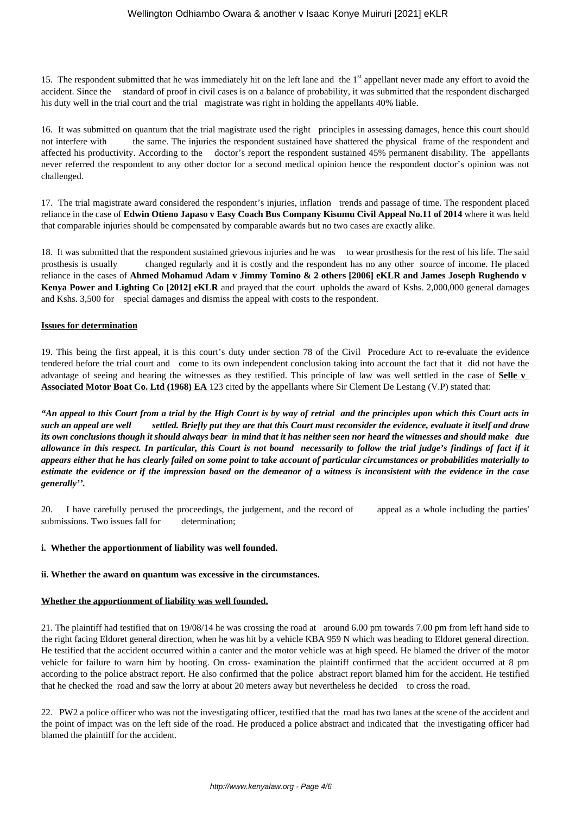15. The respondent submitted that he was immediately hit on the left lane and the  $1<sup>st</sup>$  appellant never made any effort to avoid the accident. Since the standard of proof in civil cases is on a balance of probability, it was submitted that the respondent discharged his duty well in the trial court and the trial magistrate was right in holding the appellants 40% liable.

16. It was submitted on quantum that the trial magistrate used the right principles in assessing damages, hence this court should not interfere with the same. The injuries the respondent sustained have shattered the physical frame of the respondent and affected his productivity. According to the doctor's report the respondent sustained 45% permanent disability. The appellants never referred the respondent to any other doctor for a second medical opinion hence the respondent doctor's opinion was not challenged.

17. The trial magistrate award considered the respondent's injuries, inflation trends and passage of time. The respondent placed reliance in the case of **Edwin Otieno Japaso v Easy Coach Bus Company Kisumu Civil Appeal No.11 of 2014** where it was held that comparable injuries should be compensated by comparable awards but no two cases are exactly alike.

18. It was submitted that the respondent sustained grievous injuries and he was to wear prosthesis for the rest of his life. The said prosthesis is usually changed regularly and it is costly and the respondent has no any other source of income. He placed reliance in the cases of **Ahmed Mohamud Adam v Jimmy Tomino & 2 others [2006] eKLR and James Joseph Rughendo v Kenya Power and Lighting Co [2012] eKLR** and prayed that the court upholds the award of Kshs. 2,000,000 general damages and Kshs. 3,500 for special damages and dismiss the appeal with costs to the respondent.

## **Issues for determination**

19. This being the first appeal, it is this court's duty under section 78 of the Civil Procedure Act to re-evaluate the evidence tendered before the trial court and come to its own independent conclusion taking into account the fact that it did not have the advantage of seeing and hearing the witnesses as they testified. This principle of law was well settled in the case of **Selle v Associated Motor Boat Co. Ltd (1968) EA** 123 cited by the appellants where Sir Clement De Lestang (V.P) stated that:

*"An appeal to this Court from a trial by the High Court is by way of retrial and the principles upon which this Court acts in such an appeal are well settled. Briefly put they are that this Court must reconsider the evidence, evaluate it itself and draw its own conclusions though it should always bear in mind that it has neither seen nor heard the witnesses and should make due allowance in this respect. In particular, this Court is not bound necessarily to follow the trial judge's findings of fact if it appears either that he has clearly failed on some point to take account of particular circumstances or probabilities materially to estimate the evidence or if the impression based on the demeanor of a witness is inconsistent with the evidence in the case generally''.*

20. I have carefully perused the proceedings, the judgement, and the record of appeal as a whole including the parties' submissions. Two issues fall for determination:

## **i. Whether the apportionment of liability was well founded.**

## **ii. Whether the award on quantum was excessive in the circumstances.**

## **Whether the apportionment of liability was well founded.**

21. The plaintiff had testified that on 19/08/14 he was crossing the road at around 6.00 pm towards 7.00 pm from left hand side to the right facing Eldoret general direction, when he was hit by a vehicle KBA 959 N which was heading to Eldoret general direction. He testified that the accident occurred within a canter and the motor vehicle was at high speed. He blamed the driver of the motor vehicle for failure to warn him by hooting. On cross- examination the plaintiff confirmed that the accident occurred at 8 pm according to the police abstract report. He also confirmed that the police abstract report blamed him for the accident. He testified that he checked the road and saw the lorry at about 20 meters away but nevertheless he decided to cross the road.

22. PW2 a police officer who was not the investigating officer, testified that the road has two lanes at the scene of the accident and the point of impact was on the left side of the road. He produced a police abstract and indicated that the investigating officer had blamed the plaintiff for the accident.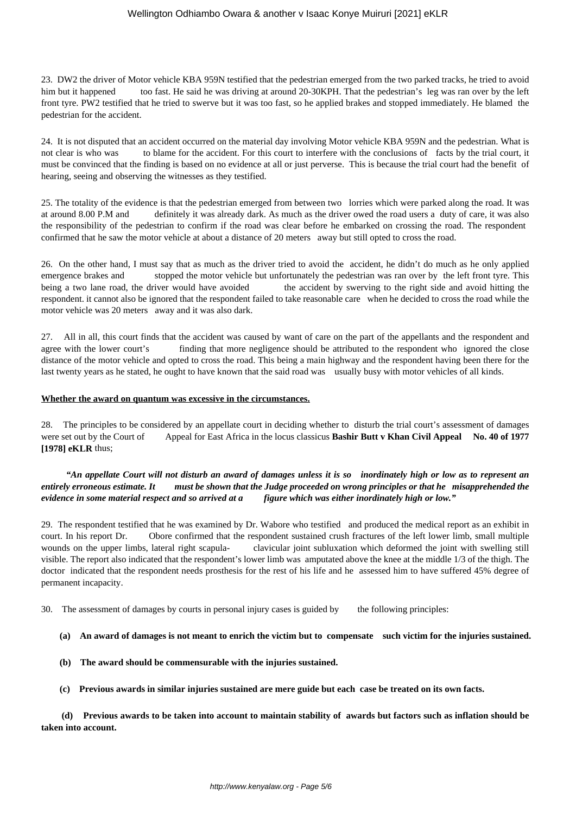## Wellington Odhiambo Owara & another v Isaac Konye Muiruri [2021] eKLR

23. DW2 the driver of Motor vehicle KBA 959N testified that the pedestrian emerged from the two parked tracks, he tried to avoid him but it happened too fast. He said he was driving at around 20-30KPH. That the pedestrian's leg was ran over by the left front tyre. PW2 testified that he tried to swerve but it was too fast, so he applied brakes and stopped immediately. He blamed the pedestrian for the accident.

24. It is not disputed that an accident occurred on the material day involving Motor vehicle KBA 959N and the pedestrian. What is not clear is who was to blame for the accident. For this court to interfere with the conclusions of facts by the trial court, it must be convinced that the finding is based on no evidence at all or just perverse. This is because the trial court had the benefit of hearing, seeing and observing the witnesses as they testified.

25. The totality of the evidence is that the pedestrian emerged from between two lorries which were parked along the road. It was at around 8.00 P.M and definitely it was already dark. As much as the driver owed the road users a duty of care, it was also the responsibility of the pedestrian to confirm if the road was clear before he embarked on crossing the road. The respondent confirmed that he saw the motor vehicle at about a distance of 20 meters away but still opted to cross the road.

26. On the other hand, I must say that as much as the driver tried to avoid the accident, he didn't do much as he only applied emergence brakes and stopped the motor vehicle but unfortunately the pedestrian was ran over by the left front tyre. This being a two lane road, the driver would have avoided the accident by swerving to the right side and avoid hitting the respondent. it cannot also be ignored that the respondent failed to take reasonable care when he decided to cross the road while the motor vehicle was 20 meters away and it was also dark.

27. All in all, this court finds that the accident was caused by want of care on the part of the appellants and the respondent and agree with the lower court's finding that more negligence should be attributed to the respondent who ignored the close distance of the motor vehicle and opted to cross the road. This being a main highway and the respondent having been there for the last twenty years as he stated, he ought to have known that the said road was usually busy with motor vehicles of all kinds.

#### **Whether the award on quantum was excessive in the circumstances.**

28. The principles to be considered by an appellate court in deciding whether to disturb the trial court's assessment of damages were set out by the Court of Appeal for East Africa in the locus classicus **Bashir Butt v Khan Civil Appeal No. 40 of 1977 [1978] eKLR** thus;

 *"An appellate Court will not disturb an award of damages unless it is so inordinately high or low as to represent an entirely erroneous estimate. It must be shown that the Judge proceeded on wrong principles or that he misapprehended the evidence in some material respect and so arrived at a figure which was either inordinately high or low."*

29. The respondent testified that he was examined by Dr. Wabore who testified and produced the medical report as an exhibit in court. In his report Dr. Obore confirmed that the respondent sustained crush fractures of the left lower limb, small multiple wounds on the upper limbs, lateral right scapula- clavicular joint subluxation which deformed the joint with swelling still visible. The report also indicated that the respondent's lower limb was amputated above the knee at the middle 1/3 of the thigh. The doctor indicated that the respondent needs prosthesis for the rest of his life and he assessed him to have suffered 45% degree of permanent incapacity.

30. The assessment of damages by courts in personal injury cases is guided by the following principles:

- **(a) An award of damages is not meant to enrich the victim but to compensate such victim for the injuries sustained.**
- **(b) The award should be commensurable with the injuries sustained.**
- **(c) Previous awards in similar injuries sustained are mere guide but each case be treated on its own facts.**

 **(d) Previous awards to be taken into account to maintain stability of awards but factors such as inflation should be taken into account.**